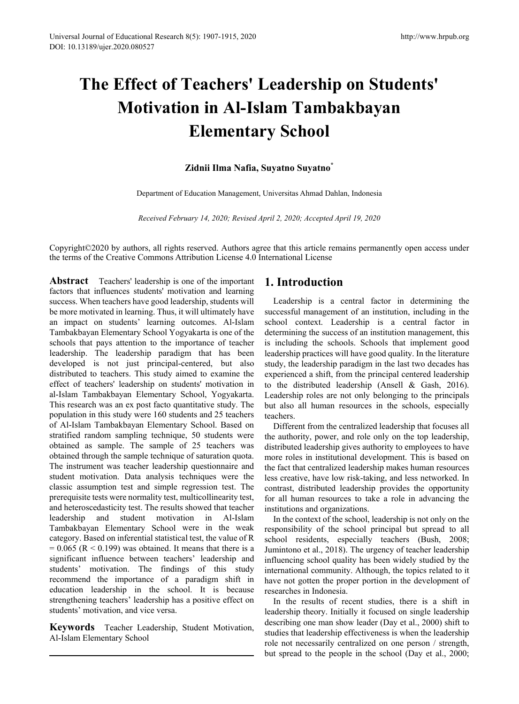# **The Effect of Teachers' Leadership on Students' Motivation in Al-Islam Tambakbayan Elementary School**

# **Zidnii Ilma Nafia, Suyatno Suyatno\***

Department of Education Management, Universitas Ahmad Dahlan, Indonesia

*Received February 14, 2020; Revised April 2, 2020; Accepted April 19, 2020*

Copyright©2020 by authors, all rights reserved. Authors agree that this article remains permanently open access under the terms of the Creative Commons Attribution License 4.0 International License

**Abstract** Teachers' leadership is one of the important factors that influences students' motivation and learning success. When teachers have good leadership, students will be more motivated in learning. Thus, it will ultimately have an impact on students' learning outcomes. Al-Islam Tambakbayan Elementary School Yogyakarta is one of the schools that pays attention to the importance of teacher leadership. The leadership paradigm that has been developed is not just principal-centered, but also distributed to teachers. This study aimed to examine the effect of teachers' leadership on students' motivation in al-Islam Tambakbayan Elementary School, Yogyakarta. This research was an ex post facto quantitative study. The population in this study were 160 students and 25 teachers of Al-Islam Tambakbayan Elementary School. Based on stratified random sampling technique, 50 students were obtained as sample. The sample of 25 teachers was obtained through the sample technique of saturation quota. The instrument was teacher leadership questionnaire and student motivation. Data analysis techniques were the classic assumption test and simple regression test. The prerequisite tests were normality test, multicollinearity test, and heteroscedasticity test. The results showed that teacher leadership and student motivation in Al-Islam Tambakbayan Elementary School were in the weak category. Based on inferential statistical test, the value of R  $= 0.065$  (R  $< 0.199$ ) was obtained. It means that there is a significant influence between teachers' leadership and students' motivation. The findings of this study recommend the importance of a paradigm shift in education leadership in the school. It is because strengthening teachers' leadership has a positive effect on students' motivation, and vice versa.

**Keywords** Teacher Leadership, Student Motivation, Al-Islam Elementary School

# **1. Introduction**

Leadership is a central factor in determining the successful management of an institution, including in the school context. Leadership is a central factor in determining the success of an institution management, this is including the schools. Schools that implement good leadership practices will have good quality. In the literature study, the leadership paradigm in the last two decades has experienced a shift, from the principal centered leadership to the distributed leadership (Ansell & Gash, 2016). Leadership roles are not only belonging to the principals but also all human resources in the schools, especially teachers.

Different from the centralized leadership that focuses all the authority, power, and role only on the top leadership, distributed leadership gives authority to employees to have more roles in institutional development. This is based on the fact that centralized leadership makes human resources less creative, have low risk-taking, and less networked. In contrast, distributed leadership provides the opportunity for all human resources to take a role in advancing the institutions and organizations.

In the context of the school, leadership is not only on the responsibility of the school principal but spread to all school residents, especially teachers (Bush, 2008; Jumintono et al., 2018). The urgency of teacher leadership influencing school quality has been widely studied by the international community. Although, the topics related to it have not gotten the proper portion in the development of researches in Indonesia.

In the results of recent studies, there is a shift in leadership theory. Initially it focused on single leadership describing one man show leader (Day et al., 2000) shift to studies that leadership effectiveness is when the leadership role not necessarily centralized on one person / strength, but spread to the people in the school (Day et al., 2000;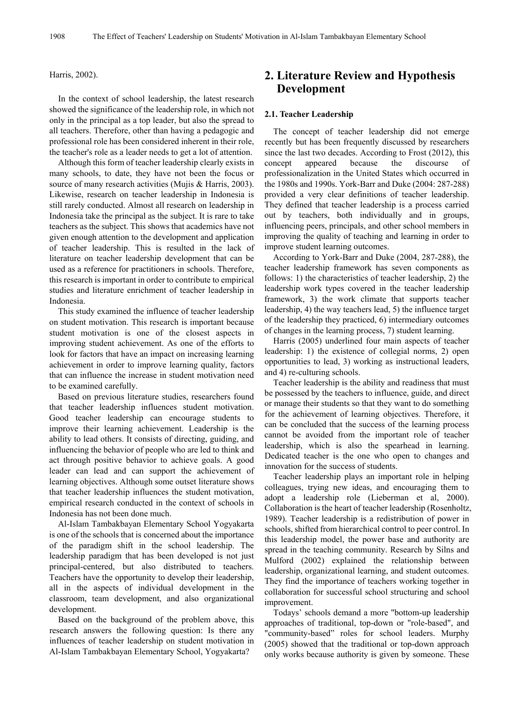## Harris, 2002).

In the context of school leadership, the latest research showed the significance of the leadership role, in which not only in the principal as a top leader, but also the spread to all teachers. Therefore, other than having a pedagogic and professional role has been considered inherent in their role, the teacher's role as a leader needs to get a lot of attention.

Although this form of teacher leadership clearly exists in many schools, to date, they have not been the focus or source of many research activities (Mujis & Harris, 2003). Likewise, research on teacher leadership in Indonesia is still rarely conducted. Almost all research on leadership in Indonesia take the principal as the subject. It is rare to take teachers as the subject. This shows that academics have not given enough attention to the development and application of teacher leadership. This is resulted in the lack of literature on teacher leadership development that can be used as a reference for practitioners in schools. Therefore, this research is important in order to contribute to empirical studies and literature enrichment of teacher leadership in Indonesia.

This study examined the influence of teacher leadership on student motivation. This research is important because student motivation is one of the closest aspects in improving student achievement. As one of the efforts to look for factors that have an impact on increasing learning achievement in order to improve learning quality, factors that can influence the increase in student motivation need to be examined carefully.

Based on previous literature studies, researchers found that teacher leadership influences student motivation. Good teacher leadership can encourage students to improve their learning achievement. Leadership is the ability to lead others. It consists of directing, guiding, and influencing the behavior of people who are led to think and act through positive behavior to achieve goals. A good leader can lead and can support the achievement of learning objectives. Although some outset literature shows that teacher leadership influences the student motivation, empirical research conducted in the context of schools in Indonesia has not been done much.

Al-Islam Tambakbayan Elementary School Yogyakarta is one of the schools that is concerned about the importance of the paradigm shift in the school leadership. The leadership paradigm that has been developed is not just principal-centered, but also distributed to teachers. Teachers have the opportunity to develop their leadership, all in the aspects of individual development in the classroom, team development, and also organizational development.

Based on the background of the problem above, this research answers the following question: Is there any influences of teacher leadership on student motivation in Al-Islam Tambakbayan Elementary School, Yogyakarta?

# **2. Literature Review and Hypothesis Development**

### **2.1. Teacher Leadership**

The concept of teacher leadership did not emerge recently but has been frequently discussed by researchers since the last two decades. According to Frost (2012), this concept appeared because the discourse of professionalization in the United States which occurred in the 1980s and 1990s. York-Barr and Duke (2004: 287-288) provided a very clear definitions of teacher leadership. They defined that teacher leadership is a process carried out by teachers, both individually and in groups, influencing peers, principals, and other school members in improving the quality of teaching and learning in order to improve student learning outcomes.

According to York-Barr and Duke (2004, 287-288), the teacher leadership framework has seven components as follows: 1) the characteristics of teacher leadership, 2) the leadership work types covered in the teacher leadership framework, 3) the work climate that supports teacher leadership, 4) the way teachers lead, 5) the influence target of the leadership they practiced, 6) intermediary outcomes of changes in the learning process, 7) student learning.

Harris (2005) underlined four main aspects of teacher leadership: 1) the existence of collegial norms, 2) open opportunities to lead, 3) working as instructional leaders, and 4) re-culturing schools.

Teacher leadership is the ability and readiness that must be possessed by the teachers to influence, guide, and direct or manage their students so that they want to do something for the achievement of learning objectives. Therefore, it can be concluded that the success of the learning process cannot be avoided from the important role of teacher leadership, which is also the spearhead in learning. Dedicated teacher is the one who open to changes and innovation for the success of students.

Teacher leadership plays an important role in helping colleagues, trying new ideas, and encouraging them to adopt a leadership role (Lieberman et al, 2000). Collaboration is the heart of teacher leadership (Rosenholtz, 1989). Teacher leadership is a redistribution of power in schools, shifted from hierarchical control to peer control. In this leadership model, the power base and authority are spread in the teaching community. Research by Silns and Mulford (2002) explained the relationship between leadership, organizational learning, and student outcomes. They find the importance of teachers working together in collaboration for successful school structuring and school improvement.

Todays' schools demand a more "bottom-up leadership approaches of traditional, top-down or "role-based", and "community-based" roles for school leaders. Murphy (2005) showed that the traditional or top-down approach only works because authority is given by someone. These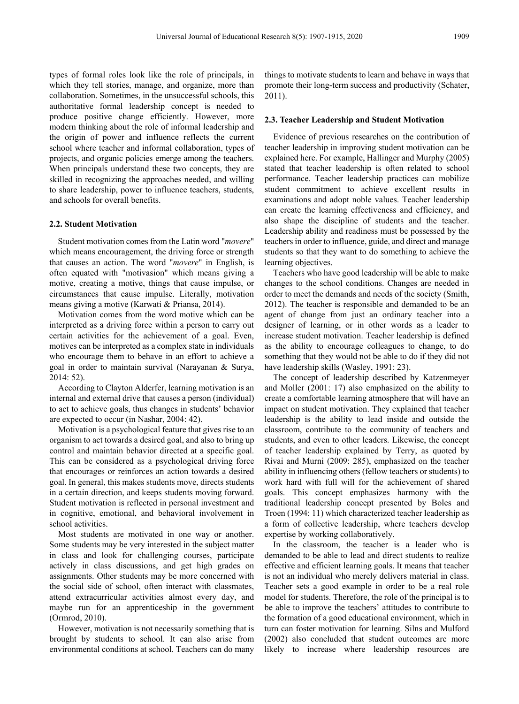types of formal roles look like the role of principals, in which they tell stories, manage, and organize, more than collaboration. Sometimes, in the unsuccessful schools, this authoritative formal leadership concept is needed to produce positive change efficiently. However, more modern thinking about the role of informal leadership and the origin of power and influence reflects the current school where teacher and informal collaboration, types of projects, and organic policies emerge among the teachers. When principals understand these two concepts, they are skilled in recognizing the approaches needed, and willing to share leadership, power to influence teachers, students, and schools for overall benefits.

#### **2.2. Student Motivation**

Student motivation comes from the Latin word "*movere*" which means encouragement, the driving force or strength that causes an action. The word "*movere*" in English, is often equated with "motivasion" which means giving a motive, creating a motive, things that cause impulse, or circumstances that cause impulse. Literally, motivation means giving a motive (Karwati & Priansa, 2014).

Motivation comes from the word motive which can be interpreted as a driving force within a person to carry out certain activities for the achievement of a goal. Even, motives can be interpreted as a complex state in individuals who encourage them to behave in an effort to achieve a goal in order to maintain survival (Narayanan & Surya, 2014: 52).

According to Clayton Alderfer, learning motivation is an internal and external drive that causes a person (individual) to act to achieve goals, thus changes in students' behavior are expected to occur (in Nashar, 2004: 42).

Motivation is a psychological feature that gives rise to an organism to act towards a desired goal, and also to bring up control and maintain behavior directed at a specific goal. This can be considered as a psychological driving force that encourages or reinforces an action towards a desired goal. In general, this makes students move, directs students in a certain direction, and keeps students moving forward. Student motivation is reflected in personal investment and in cognitive, emotional, and behavioral involvement in school activities.

Most students are motivated in one way or another. Some students may be very interested in the subject matter in class and look for challenging courses, participate actively in class discussions, and get high grades on assignments. Other students may be more concerned with the social side of school, often interact with classmates, attend extracurricular activities almost every day, and maybe run for an apprenticeship in the government (Ormrod, 2010).

However, motivation is not necessarily something that is brought by students to school. It can also arise from environmental conditions at school. Teachers can do many

things to motivate students to learn and behave in ways that promote their long-term success and productivity (Schater, 2011).

#### **2.3. Teacher Leadership and Student Motivation**

Evidence of previous researches on the contribution of teacher leadership in improving student motivation can be explained here. For example, Hallinger and Murphy (2005) stated that teacher leadership is often related to school performance. Teacher leadership practices can mobilize student commitment to achieve excellent results in examinations and adopt noble values. Teacher leadership can create the learning effectiveness and efficiency, and also shape the discipline of students and the teacher. Leadership ability and readiness must be possessed by the teachers in order to influence, guide, and direct and manage students so that they want to do something to achieve the learning objectives.

Teachers who have good leadership will be able to make changes to the school conditions. Changes are needed in order to meet the demands and needs of the society (Smith, 2012). The teacher is responsible and demanded to be an agent of change from just an ordinary teacher into a designer of learning, or in other words as a leader to increase student motivation. Teacher leadership is defined as the ability to encourage colleagues to change, to do something that they would not be able to do if they did not have leadership skills (Wasley, 1991: 23).

The concept of leadership described by Katzenmeyer and Moller (2001: 17) also emphasized on the ability to create a comfortable learning atmosphere that will have an impact on student motivation. They explained that teacher leadership is the ability to lead inside and outside the classroom, contribute to the community of teachers and students, and even to other leaders. Likewise, the concept of teacher leadership explained by Terry, as quoted by Rivai and Murni (2009: 285), emphasized on the teacher ability in influencing others (fellow teachers or students) to work hard with full will for the achievement of shared goals. This concept emphasizes harmony with the traditional leadership concept presented by Boles and Troen (1994: 11) which characterized teacher leadership as a form of collective leadership, where teachers develop expertise by working collaboratively.

In the classroom, the teacher is a leader who is demanded to be able to lead and direct students to realize effective and efficient learning goals. It means that teacher is not an individual who merely delivers material in class. Teacher sets a good example in order to be a real role model for students. Therefore, the role of the principal is to be able to improve the teachers' attitudes to contribute to the formation of a good educational environment, which in turn can foster motivation for learning. Silns and Mulford (2002) also concluded that student outcomes are more likely to increase where leadership resources are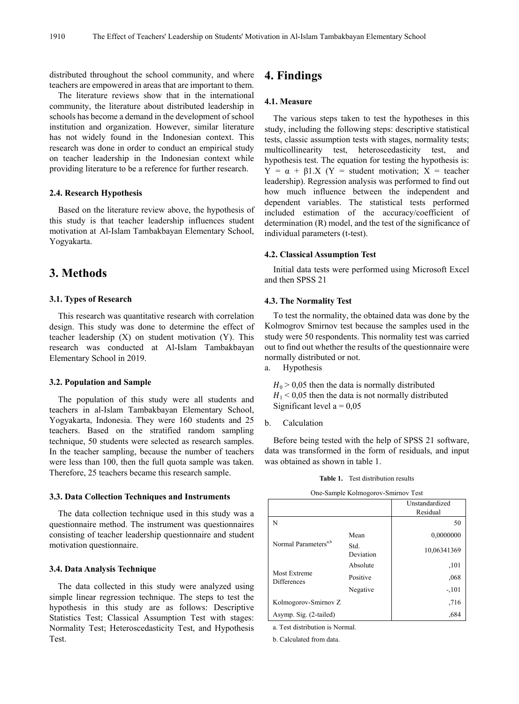distributed throughout the school community, and where teachers are empowered in areas that are important to them.

The literature reviews show that in the international community, the literature about distributed leadership in schools has become a demand in the development of school institution and organization. However, similar literature has not widely found in the Indonesian context. This research was done in order to conduct an empirical study on teacher leadership in the Indonesian context while providing literature to be a reference for further research.

## **2.4. Research Hypothesis**

Based on the literature review above, the hypothesis of this study is that teacher leadership influences student motivation at Al-Islam Tambakbayan Elementary School, Yogyakarta.

# **3. Methods**

### **3.1. Types of Research**

This research was quantitative research with correlation design. This study was done to determine the effect of teacher leadership  $(X)$  on student motivation  $(Y)$ . This research was conducted at Al-Islam Tambakbayan Elementary School in 2019.

#### **3.2. Population and Sample**

The population of this study were all students and teachers in al-Islam Tambakbayan Elementary School, Yogyakarta, Indonesia. They were 160 students and 25 teachers. Based on the stratified random sampling technique, 50 students were selected as research samples. In the teacher sampling, because the number of teachers were less than 100, then the full quota sample was taken. Therefore, 25 teachers became this research sample.

#### **3.3. Data Collection Techniques and Instruments**

The data collection technique used in this study was a questionnaire method. The instrument was questionnaires consisting of teacher leadership questionnaire and student motivation questionnaire.

## **3.4. Data Analysis Technique**

The data collected in this study were analyzed using simple linear regression technique. The steps to test the hypothesis in this study are as follows: Descriptive Statistics Test; Classical Assumption Test with stages: Normality Test; Heteroscedasticity Test, and Hypothesis Test.

# **4. Findings**

## **4.1. Measure**

The various steps taken to test the hypotheses in this study, including the following steps: descriptive statistical tests, classic assumption tests with stages, normality tests; multicollinearity test, heteroscedasticity test, and hypothesis test. The equation for testing the hypothesis is:  $Y = \alpha + \beta 1.X$  (Y = student motivation; X = teacher leadership). Regression analysis was performed to find out how much influence between the independent and dependent variables. The statistical tests performed included estimation of the accuracy/coefficient of determination (R) model, and the test of the significance of individual parameters (t-test).

#### **4.2. Classical Assumption Test**

Initial data tests were performed using Microsoft Excel and then SPSS 21

### **4.3. The Normality Test**

To test the normality, the obtained data was done by the Kolmogrov Smirnov test because the samples used in the study were 50 respondents. This normality test was carried out to find out whether the results of the questionnaire were normally distributed or not.

a. Hypothesis

 $H_0$  > 0,05 then the data is normally distributed  $H_1 < 0.05$  then the data is not normally distributed Significant level  $a = 0.05$ 

b. Calculation

Before being tested with the help of SPSS 21 software, data was transformed in the form of residuals, and input was obtained as shown in table 1.

#### **Table 1.** Test distribution results

One-Sample Kolmogorov-Smirnov Test

|                                    |                   | Unstandardized<br>Residual |
|------------------------------------|-------------------|----------------------------|
| N                                  |                   | 50                         |
|                                    | Mean              | 0,0000000                  |
| Normal Parameters <sup>a,b</sup>   | Std.<br>Deviation | 10,06341369                |
|                                    | Absolute          | ,101                       |
| Most Extreme<br><b>Differences</b> | Positive          | .068                       |
|                                    | Negative          | $-101$                     |
| Kolmogorov-Smirnov Z               |                   | ,716                       |
| Asymp. Sig. (2-tailed)             |                   | ,684                       |

a. Test distribution is Normal.

b. Calculated from data.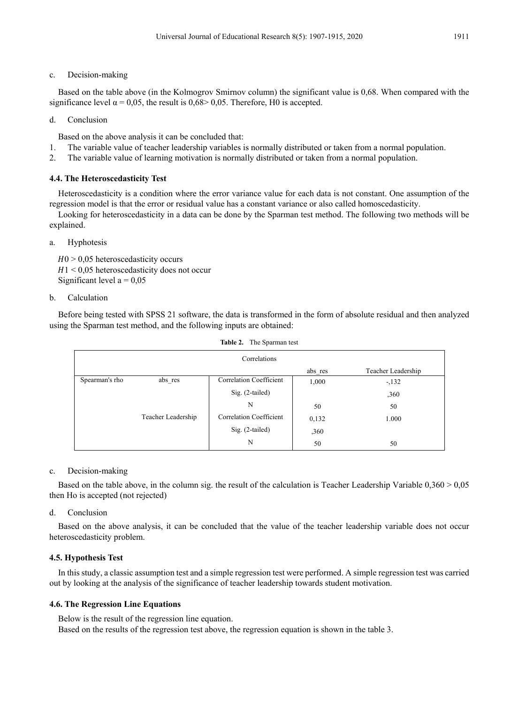# c. Decision-making

Based on the table above (in the Kolmogrov Smirnov column) the significant value is 0,68. When compared with the significance level  $\alpha = 0.05$ , the result is 0.68 > 0.05. Therefore, H0 is accepted.

# d. Conclusion

Based on the above analysis it can be concluded that:

- 1. The variable value of teacher leadership variables is normally distributed or taken from a normal population.
- 2. The variable value of learning motivation is normally distributed or taken from a normal population.

# **4.4. The Heteroscedasticity Test**

Heteroscedasticity is a condition where the error variance value for each data is not constant. One assumption of the regression model is that the error or residual value has a constant variance or also called homoscedasticity.

Looking for heteroscedasticity in a data can be done by the Sparman test method. The following two methods will be explained.

# a. Hyphotesis

 $H0 > 0.05$  heteroscedasticity occurs  $H1 \leq 0.05$  heteroscedasticity does not occur Significant level  $a = 0.05$ 

# b. Calculation

Before being tested with SPSS 21 software, the data is transformed in the form of absolute residual and then analyzed using the Sparman test method, and the following inputs are obtained:

| Correlations   |                    |                         |         |                    |  |  |
|----------------|--------------------|-------------------------|---------|--------------------|--|--|
|                |                    |                         | abs res | Teacher Leadership |  |  |
| Spearman's rho | abs res            | Correlation Coefficient | 1,000   | $-132$             |  |  |
|                |                    | Sig. (2-tailed)         |         | ,360               |  |  |
|                |                    | N                       | 50      | 50                 |  |  |
|                | Teacher Leadership | Correlation Coefficient | 0,132   | 1.000              |  |  |
|                |                    | Sig. (2-tailed)         | ,360    |                    |  |  |
|                |                    | N                       | 50      | 50                 |  |  |

| Table 2.<br>The Sparman test |  |
|------------------------------|--|
|------------------------------|--|

# c. Decision-making

Based on the table above, in the column sig. the result of the calculation is Teacher Leadership Variable 0,360 > 0,05 then Ho is accepted (not rejected)

# d. Conclusion

Based on the above analysis, it can be concluded that the value of the teacher leadership variable does not occur heteroscedasticity problem.

# **4.5. Hypothesis Test**

In this study, a classic assumption test and a simple regression test were performed. A simple regression test was carried out by looking at the analysis of the significance of teacher leadership towards student motivation.

# **4.6. The Regression Line Equations**

Below is the result of the regression line equation. Based on the results of the regression test above, the regression equation is shown in the table 3.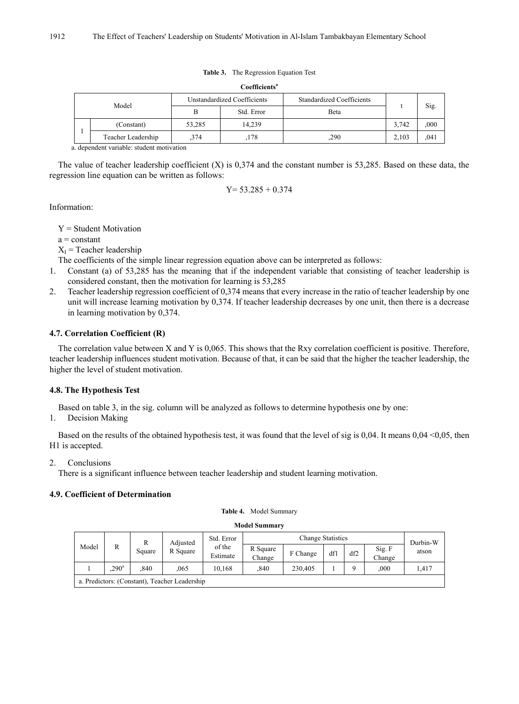#### **Table 3.** The Regression Equation Test

| Coefficients <sup>a</sup> |                                                                                                                                                                                                                                   |                             |            |                                  |       |      |  |  |  |
|---------------------------|-----------------------------------------------------------------------------------------------------------------------------------------------------------------------------------------------------------------------------------|-----------------------------|------------|----------------------------------|-------|------|--|--|--|
| Model                     |                                                                                                                                                                                                                                   | Unstandardized Coefficients |            | <b>Standardized Coefficients</b> |       |      |  |  |  |
|                           |                                                                                                                                                                                                                                   | B                           | Std. Error | Beta                             |       | Sig. |  |  |  |
|                           | (Constant)                                                                                                                                                                                                                        | 53,285                      | 14,239     |                                  | 3,742 | ,000 |  |  |  |
|                           | Teacher Leadership                                                                                                                                                                                                                | .374                        | 178        | .290                             | 2,103 | ,041 |  |  |  |
|                           | $\mathbf{1}$ , and a set of the set of the set of the set of the set of the set of the set of the set of the set of the set of the set of the set of the set of the set of the set of the set of the set of the set of the set of |                             |            |                                  |       |      |  |  |  |

a. dependent variable: student motivation

The value of teacher leadership coefficient  $(X)$  is 0,374 and the constant number is 53,285. Based on these data, the regression line equation can be written as follows:

 $Y= 53.285 + 0.374$ 

Information:

Y = Student Motivation

 $a = constant$ 

 $X_I$  = Teacher leadership

The coefficients of the simple linear regression equation above can be interpreted as follows:

- 1. Constant (a) of 53,285 has the meaning that if the independent variable that consisting of teacher leadership is considered constant, then the motivation for learning is 53,285
- 2. Teacher leadership regression coefficient of 0,374 means that every increase in the ratio of teacher leadership by one unit will increase learning motivation by 0,374. If teacher leadership decreases by one unit, then there is a decrease in learning motivation by 0,374.

# **4.7. Correlation Coefficient (R)**

The correlation value between X and Y is 0,065. This shows that the Rxy correlation coefficient is positive. Therefore, teacher leadership influences student motivation. Because of that, it can be said that the higher the teacher leadership, the higher the level of student motivation.

# **4.8. The Hypothesis Test**

Based on table 3, in the sig. column will be analyzed as follows to determine hypothesis one by one:

1. Decision Making

Based on the results of the obtained hypothesis test, it was found that the level of sig is 0,04. It means  $0.04 \le 0.05$ , then H1 is accepted.

2. Conclusions

There is a significant influence between teacher leadership and student learning motivation.

# **4.9. Coefficient of Determination**

#### **Model Summary**

| R<br>Model<br>R<br>Square | Adjusted      | Std. Error | <b>Change Statistics</b>                      |                    |          |         |     | Durbin-W         |       |       |
|---------------------------|---------------|------------|-----------------------------------------------|--------------------|----------|---------|-----|------------------|-------|-------|
|                           |               | R Square   | of the<br>Estimate                            | R Square<br>Change | F Change | df1     | df2 | Sig. F<br>Change | atson |       |
|                           | $290^{\circ}$ | 840        | 065                                           | 10.168             | ,840     | 230.405 |     |                  | .000  | 1,417 |
|                           |               |            | a. Predictors: (Constant). Teacher Leadership |                    |          |         |     |                  |       |       |

a. Predictors: (Constant), Teacher Leadership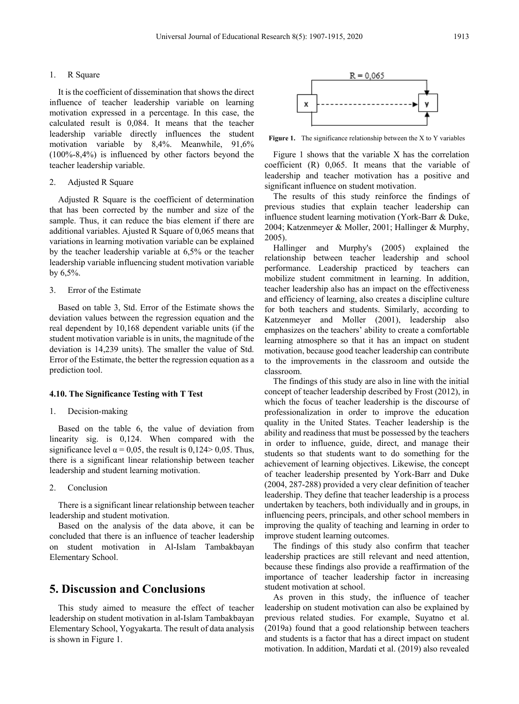#### 1. R Square

It is the coefficient of dissemination that shows the direct influence of teacher leadership variable on learning motivation expressed in a percentage. In this case, the calculated result is 0,084. It means that the teacher leadership variable directly influences the student motivation variable by 8,4%. Meanwhile, 91,6% (100%-8,4%) is influenced by other factors beyond the teacher leadership variable.

#### 2. Adjusted R Square

Adjusted R Square is the coefficient of determination that has been corrected by the number and size of the sample. Thus, it can reduce the bias element if there are additional variables. Ajusted R Square of 0,065 means that variations in learning motivation variable can be explained by the teacher leadership variable at 6,5% or the teacher leadership variable influencing student motivation variable by 6,5%.

#### 3. Error of the Estimate

Based on table 3, Std. Error of the Estimate shows the deviation values between the regression equation and the real dependent by 10,168 dependent variable units (if the student motivation variable is in units, the magnitude of the deviation is 14,239 units). The smaller the value of Std. Error of the Estimate, the better the regression equation as a prediction tool.

#### **4.10. The Significance Testing with T Test**

#### 1. Decision-making

Based on the table 6, the value of deviation from linearity sig. is 0,124. When compared with the significance level  $\alpha$  = 0,05, the result is 0,124 > 0,05. Thus, there is a significant linear relationship between teacher leadership and student learning motivation.

#### 2. Conclusion

There is a significant linear relationship between teacher leadership and student motivation.

Based on the analysis of the data above, it can be concluded that there is an influence of teacher leadership on student motivation in Al-Islam Tambakbayan Elementary School.

# **5. Discussion and Conclusions**

This study aimed to measure the effect of teacher leadership on student motivation in al-Islam Tambakbayan Elementary School, Yogyakarta. The result of data analysis is shown in Figure 1.



**Figure 1.** The significance relationship between the X to Y variables

Figure 1 shows that the variable X has the correlation coefficient (R) 0,065. It means that the variable of leadership and teacher motivation has a positive and significant influence on student motivation.

The results of this study reinforce the findings of previous studies that explain teacher leadership can influence student learning motivation (York-Barr & Duke, 2004; Katzenmeyer & Moller, 2001; Hallinger & Murphy, 2005).

Hallinger and Murphy's (2005) explained the relationship between teacher leadership and school performance. Leadership practiced by teachers can mobilize student commitment in learning. In addition, teacher leadership also has an impact on the effectiveness and efficiency of learning, also creates a discipline culture for both teachers and students. Similarly, according to Katzenmeyer and Moller (2001), leadership also emphasizes on the teachers' ability to create a comfortable learning atmosphere so that it has an impact on student motivation, because good teacher leadership can contribute to the improvements in the classroom and outside the classroom.

The findings of this study are also in line with the initial concept of teacher leadership described by Frost (2012), in which the focus of teacher leadership is the discourse of professionalization in order to improve the education quality in the United States. Teacher leadership is the ability and readiness that must be possessed by the teachers in order to influence, guide, direct, and manage their students so that students want to do something for the achievement of learning objectives. Likewise, the concept of teacher leadership presented by York-Barr and Duke (2004, 287-288) provided a very clear definition of teacher leadership. They define that teacher leadership is a process undertaken by teachers, both individually and in groups, in influencing peers, principals, and other school members in improving the quality of teaching and learning in order to improve student learning outcomes.

The findings of this study also confirm that teacher leadership practices are still relevant and need attention, because these findings also provide a reaffirmation of the importance of teacher leadership factor in increasing student motivation at school.

As proven in this study, the influence of teacher leadership on student motivation can also be explained by previous related studies. For example, Suyatno et al. (2019a) found that a good relationship between teachers and students is a factor that has a direct impact on student motivation. In addition, Mardati et al. (2019) also revealed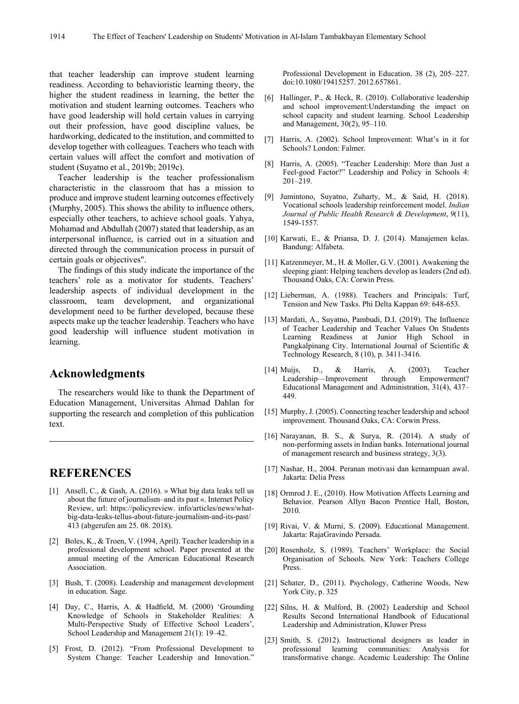that teacher leadership can improve student learning readiness. According to behavioristic learning theory, the higher the student readiness in learning, the better the motivation and student learning outcomes. Teachers who have good leadership will hold certain values in carrying out their profession, have good discipline values, be hardworking, dedicated to the institution, and committed to develop together with colleagues. Teachers who teach with certain values will affect the comfort and motivation of student (Suyatno et al., 2019b; 2019c).

Teacher leadership is the teacher professionalism characteristic in the classroom that has a mission to produce and improve student learning outcomes effectively (Murphy, 2005). This shows the ability to influence others, especially other teachers, to achieve school goals. Yahya, Mohamad and Abdullah (2007) stated that leadership, as an interpersonal influence, is carried out in a situation and directed through the communication process in pursuit of certain goals or objectives".

The findings of this study indicate the importance of the teachers' role as a motivator for students. Teachers' leadership aspects of individual development in the classroom, team development, and organizational development need to be further developed, because these aspects make up the teacher leadership. Teachers who have good leadership will influence student motivation in learning.

# **Acknowledgments**

The researchers would like to thank the Department of Education Management, Universitas Ahmad Dahlan for supporting the research and completion of this publication text.

# **REFERENCES**

- [1] Ansell, C., & Gash, A. (2016). » What big data leaks tell us about the future of journalism–and its past «. Internet Policy Review, url: https://policyreview. info/articles/news/whatbig-data-leaks-tellus-about-future-journalism-and-its-past/ 413 (abgerufen am 25. 08. 2018).
- [2] Boles, K., & Troen, V. (1994, April). Teacher leadership in a professional development school. Paper presented at the annual meeting of the American Educational Research Association.
- [3] Bush, T. (2008). Leadership and management development in education. Sage.
- [4] Day, C., Harris, A. & Hadfield, M. (2000) 'Grounding Knowledge of Schools in Stakeholder Realities: A Multi-Perspective Study of Effective School Leaders', School Leadership and Management 21(1): 19–42.
- [5] Frost, D. (2012). "From Professional Development to System Change: Teacher Leadership and Innovation."

Professional Development in Education. 38 (2), 205–227. doi:10.1080/19415257. 2012.657861.

- [6] Hallinger, P., & Heck, R. (2010). Collaborative leadership and school improvement:Understanding the impact on school capacity and student learning. School Leadership and Management, 30(2), 95–110.
- [7] Harris, A. (2002). School Improvement: What's in it for Schools? London: Falmer.
- [8] Harris, A. (2005). "Teacher Leadership: More than Just a Feel-good Factor?" Leadership and Policy in Schools 4: 201–219.
- [9] Jumintono, Suyatno, Zuharty, M., & Said, H. (2018). Vocational schools leadership reinforcement model. *Indian Journal of Public Health Research & Development*, *9*(11), 1549-1557.
- [10] Karwati, E., & Priansa, D. J. (2014). Manajemen kelas. Bandung: Alfabeta.
- [11] Katzenmeyer, M., H. & Moller, G.V. (2001). Awakening the sleeping giant: Helping teachers develop as leaders (2nd ed). Thousand Oaks, CA: Corwin Press.
- [12] Lieberman, A. (1988). Teachers and Principals: Turf, Tension and New Tasks. Phi Delta Kappan 69: 648-653.
- [13] Mardati, A., Suyatno, Pambudi, D.I. (2019). The Influence of Teacher Leadership and Teacher Values On Students Learning Readiness at Junior High School in Pangkalpinang City. International Journal of Scientific & Technology Research, 8 (10), p. 3411-3416.
- [14] Muijs, D., & Harris, A. (2003). Teacher Leadership—Improvement through Empowerment? Educational Management and Administration, 31(4), 437– 449.
- [15] Murphy, J. (2005). Connecting teacher leadership and school improvement. Thousand Oaks, CA: Corwin Press.
- [16] Narayanan, B. S., & Surya, R. (2014). A study of non-performing assets in Indian banks. International journal of management research and business strategy, 3(3).
- [17] Nashar, H., 2004. Peranan motivasi dan kemampuan awal. Jakarta: Delia Press
- [18] Ormrod J. E., (2010). How Motivation Affects Learning and Behavior. Pearson Allyn Bacon Prentice Hall, Boston, 2010.
- [19] Rivai, V. & Murni, S. (2009). Educational Management. Jakarta: RajaGravindo Persada.
- [20] Rosenholz, S. (1989). Teachers' Workplace: the Social Organisation of Schools. New York: Teachers College Press.
- [21] Schater, D., (2011). Psychology, Catherine Woods, New York City, p. 325
- [22] Silns, H. & Mulford, B. (2002) Leadership and School Results Second International Handbook of Educational Leadership and Administration, Kluwer Press
- [23] Smith, S. (2012). Instructional designers as leader in professional learning communities: Analysis for transformative change. Academic Leadership: The Online